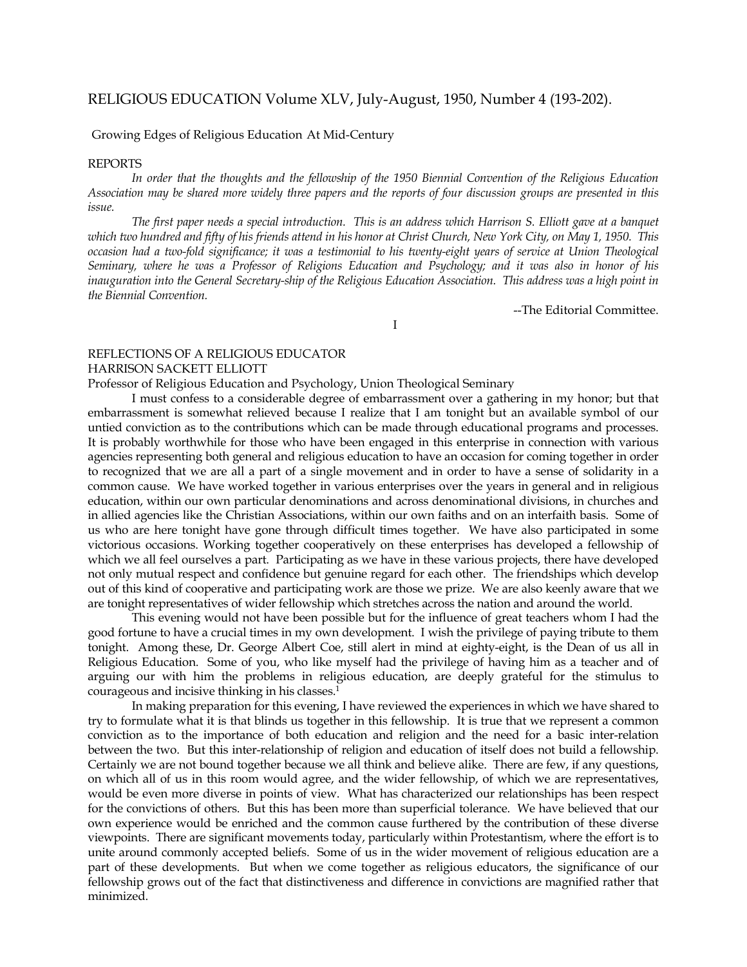## RELIGIOUS EDUCATION Volume XLV, July-August, 1950, Number 4 (193-202).

## Growing Edges of Religious Education At Mid-Century

## REPORTS

 *In order that the thoughts and the fellowship of the 1950 Biennial Convention of the Religious Education Association may be shared more widely three papers and the reports of four discussion groups are presented in this issue.* 

 *The first paper needs a special introduction. This is an address which Harrison S. Elliott gave at a banquet which two hundred and fifty of his friends attend in his honor at Christ Church, New York City, on May 1, 1950. This occasion had a two-fold significance; it was a testimonial to his twenty-eight years of service at Union Theological Seminary, where he was a Professor of Religions Education and Psychology; and it was also in honor of his inauguration into the General Secretary-ship of the Religious Education Association. This address was a high point in the Biennial Convention.* 

I

--The Editorial Committee.

## REFLECTIONS OF A RELIGIOUS EDUCATOR HARRISON SACKETT ELLIOTT

Professor of Religious Education and Psychology, Union Theological Seminary

 I must confess to a considerable degree of embarrassment over a gathering in my honor; but that embarrassment is somewhat relieved because I realize that I am tonight but an available symbol of our untied conviction as to the contributions which can be made through educational programs and processes. It is probably worthwhile for those who have been engaged in this enterprise in connection with various agencies representing both general and religious education to have an occasion for coming together in order to recognized that we are all a part of a single movement and in order to have a sense of solidarity in a common cause. We have worked together in various enterprises over the years in general and in religious education, within our own particular denominations and across denominational divisions, in churches and in allied agencies like the Christian Associations, within our own faiths and on an interfaith basis. Some of us who are here tonight have gone through difficult times together. We have also participated in some victorious occasions. Working together cooperatively on these enterprises has developed a fellowship of which we all feel ourselves a part. Participating as we have in these various projects, there have developed not only mutual respect and confidence but genuine regard for each other. The friendships which develop out of this kind of cooperative and participating work are those we prize. We are also keenly aware that we are tonight representatives of wider fellowship which stretches across the nation and around the world.

 This evening would not have been possible but for the influence of great teachers whom I had the good fortune to have a crucial times in my own development. I wish the privilege of paying tribute to them tonight. Among these, Dr. George Albert Coe, still alert in mind at eighty-eight, is the Dean of us all in Religious Education. Some of you, who like myself had the privilege of having him as a teacher and of arguing our with him the problems in religious education, are deeply grateful for the stimulus to courageous and incisive thinking in his classes[.1](#page-6-0)

 In making preparation for this evening, I have reviewed the experiences in which we have shared to try to formulate what it is that blinds us together in this fellowship. It is true that we represent a common conviction as to the importance of both education and religion and the need for a basic inter-relation between the two. But this inter-relationship of religion and education of itself does not build a fellowship. Certainly we are not bound together because we all think and believe alike. There are few, if any questions, on which all of us in this room would agree, and the wider fellowship, of which we are representatives, would be even more diverse in points of view. What has characterized our relationships has been respect for the convictions of others. But this has been more than superficial tolerance. We have believed that our own experience would be enriched and the common cause furthered by the contribution of these diverse viewpoints. There are significant movements today, particularly within Protestantism, where the effort is to unite around commonly accepted beliefs. Some of us in the wider movement of religious education are a part of these developments. But when we come together as religious educators, the significance of our fellowship grows out of the fact that distinctiveness and difference in convictions are magnified rather that minimized.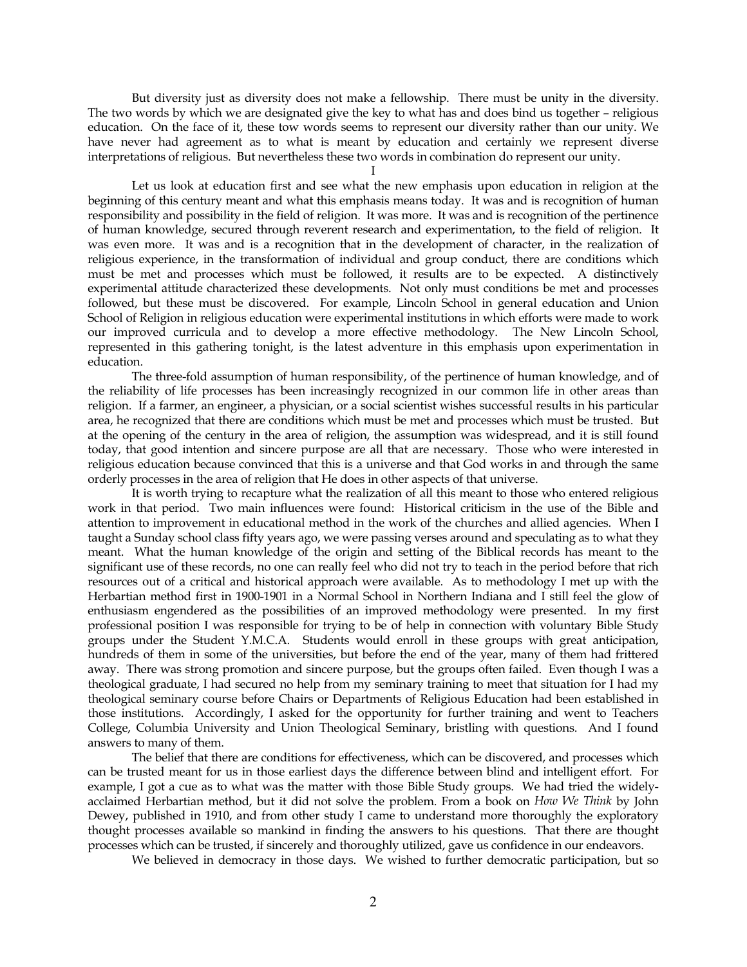But diversity just as diversity does not make a fellowship. There must be unity in the diversity. The two words by which we are designated give the key to what has and does bind us together – religious education. On the face of it, these tow words seems to represent our diversity rather than our unity. We have never had agreement as to what is meant by education and certainly we represent diverse interpretations of religious. But nevertheless these two words in combination do represent our unity.

I

Let us look at education first and see what the new emphasis upon education in religion at the beginning of this century meant and what this emphasis means today. It was and is recognition of human responsibility and possibility in the field of religion. It was more. It was and is recognition of the pertinence of human knowledge, secured through reverent research and experimentation, to the field of religion. It was even more. It was and is a recognition that in the development of character, in the realization of religious experience, in the transformation of individual and group conduct, there are conditions which must be met and processes which must be followed, it results are to be expected. A distinctively experimental attitude characterized these developments. Not only must conditions be met and processes followed, but these must be discovered. For example, Lincoln School in general education and Union School of Religion in religious education were experimental institutions in which efforts were made to work our improved curricula and to develop a more effective methodology. The New Lincoln School, represented in this gathering tonight, is the latest adventure in this emphasis upon experimentation in education.

The three-fold assumption of human responsibility, of the pertinence of human knowledge, and of the reliability of life processes has been increasingly recognized in our common life in other areas than religion. If a farmer, an engineer, a physician, or a social scientist wishes successful results in his particular area, he recognized that there are conditions which must be met and processes which must be trusted. But at the opening of the century in the area of religion, the assumption was widespread, and it is still found today, that good intention and sincere purpose are all that are necessary. Those who were interested in religious education because convinced that this is a universe and that God works in and through the same orderly processes in the area of religion that He does in other aspects of that universe.

It is worth trying to recapture what the realization of all this meant to those who entered religious work in that period. Two main influences were found: Historical criticism in the use of the Bible and attention to improvement in educational method in the work of the churches and allied agencies. When I taught a Sunday school class fifty years ago, we were passing verses around and speculating as to what they meant. What the human knowledge of the origin and setting of the Biblical records has meant to the significant use of these records, no one can really feel who did not try to teach in the period before that rich resources out of a critical and historical approach were available. As to methodology I met up with the Herbartian method first in 1900-1901 in a Normal School in Northern Indiana and I still feel the glow of enthusiasm engendered as the possibilities of an improved methodology were presented. In my first professional position I was responsible for trying to be of help in connection with voluntary Bible Study groups under the Student Y.M.C.A. Students would enroll in these groups with great anticipation, hundreds of them in some of the universities, but before the end of the year, many of them had frittered away. There was strong promotion and sincere purpose, but the groups often failed. Even though I was a theological graduate, I had secured no help from my seminary training to meet that situation for I had my theological seminary course before Chairs or Departments of Religious Education had been established in those institutions. Accordingly, I asked for the opportunity for further training and went to Teachers College, Columbia University and Union Theological Seminary, bristling with questions. And I found answers to many of them.

The belief that there are conditions for effectiveness, which can be discovered, and processes which can be trusted meant for us in those earliest days the difference between blind and intelligent effort. For example, I got a cue as to what was the matter with those Bible Study groups. We had tried the widelyacclaimed Herbartian method, but it did not solve the problem. From a book on *How We Think* by John Dewey, published in 1910, and from other study I came to understand more thoroughly the exploratory thought processes available so mankind in finding the answers to his questions. That there are thought processes which can be trusted, if sincerely and thoroughly utilized, gave us confidence in our endeavors.

We believed in democracy in those days. We wished to further democratic participation, but so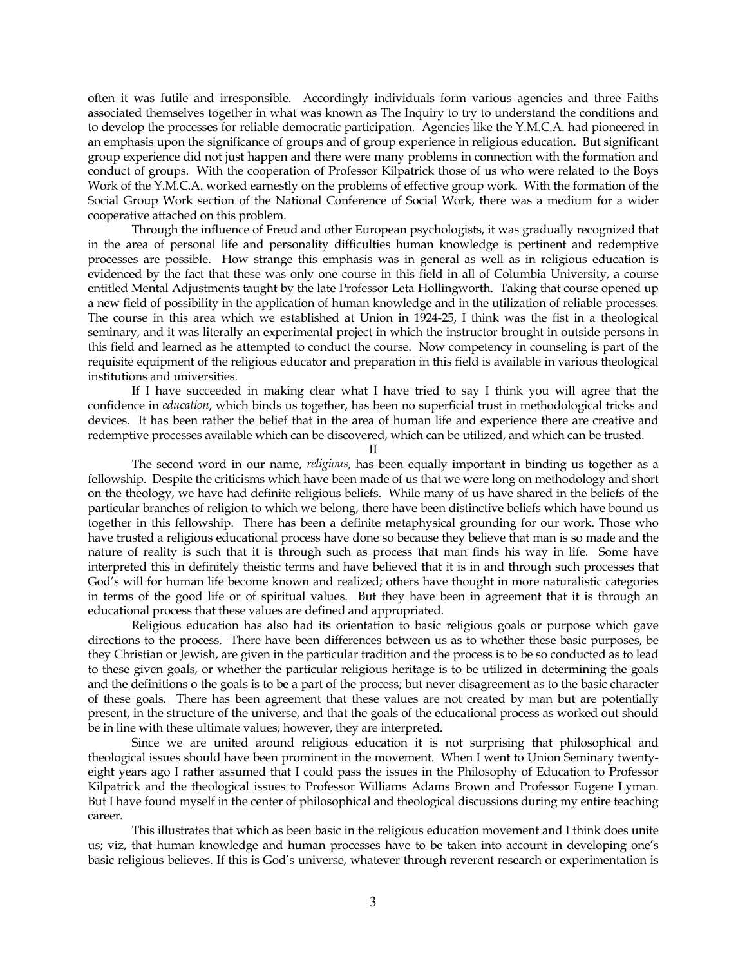often it was futile and irresponsible. Accordingly individuals form various agencies and three Faiths associated themselves together in what was known as The Inquiry to try to understand the conditions and to develop the processes for reliable democratic participation. Agencies like the Y.M.C.A. had pioneered in an emphasis upon the significance of groups and of group experience in religious education. But significant group experience did not just happen and there were many problems in connection with the formation and conduct of groups. With the cooperation of Professor Kilpatrick those of us who were related to the Boys Work of the Y.M.C.A. worked earnestly on the problems of effective group work. With the formation of the Social Group Work section of the National Conference of Social Work, there was a medium for a wider cooperative attached on this problem.

Through the influence of Freud and other European psychologists, it was gradually recognized that in the area of personal life and personality difficulties human knowledge is pertinent and redemptive processes are possible. How strange this emphasis was in general as well as in religious education is evidenced by the fact that these was only one course in this field in all of Columbia University, a course entitled Mental Adjustments taught by the late Professor Leta Hollingworth. Taking that course opened up a new field of possibility in the application of human knowledge and in the utilization of reliable processes. The course in this area which we established at Union in 1924-25, I think was the fist in a theological seminary, and it was literally an experimental project in which the instructor brought in outside persons in this field and learned as he attempted to conduct the course. Now competency in counseling is part of the requisite equipment of the religious educator and preparation in this field is available in various theological institutions and universities.

If I have succeeded in making clear what I have tried to say I think you will agree that the confidence in *education*, which binds us together, has been no superficial trust in methodological tricks and devices. It has been rather the belief that in the area of human life and experience there are creative and redemptive processes available which can be discovered, which can be utilized, and which can be trusted.

II

The second word in our name, *religious*, has been equally important in binding us together as a fellowship. Despite the criticisms which have been made of us that we were long on methodology and short on the theology, we have had definite religious beliefs. While many of us have shared in the beliefs of the particular branches of religion to which we belong, there have been distinctive beliefs which have bound us together in this fellowship. There has been a definite metaphysical grounding for our work. Those who have trusted a religious educational process have done so because they believe that man is so made and the nature of reality is such that it is through such as process that man finds his way in life. Some have interpreted this in definitely theistic terms and have believed that it is in and through such processes that God's will for human life become known and realized; others have thought in more naturalistic categories in terms of the good life or of spiritual values. But they have been in agreement that it is through an educational process that these values are defined and appropriated.

Religious education has also had its orientation to basic religious goals or purpose which gave directions to the process. There have been differences between us as to whether these basic purposes, be they Christian or Jewish, are given in the particular tradition and the process is to be so conducted as to lead to these given goals, or whether the particular religious heritage is to be utilized in determining the goals and the definitions o the goals is to be a part of the process; but never disagreement as to the basic character of these goals. There has been agreement that these values are not created by man but are potentially present, in the structure of the universe, and that the goals of the educational process as worked out should be in line with these ultimate values; however, they are interpreted.

Since we are united around religious education it is not surprising that philosophical and theological issues should have been prominent in the movement. When I went to Union Seminary twentyeight years ago I rather assumed that I could pass the issues in the Philosophy of Education to Professor Kilpatrick and the theological issues to Professor Williams Adams Brown and Professor Eugene Lyman. But I have found myself in the center of philosophical and theological discussions during my entire teaching career.

This illustrates that which as been basic in the religious education movement and I think does unite us; viz, that human knowledge and human processes have to be taken into account in developing one's basic religious believes. If this is God's universe, whatever through reverent research or experimentation is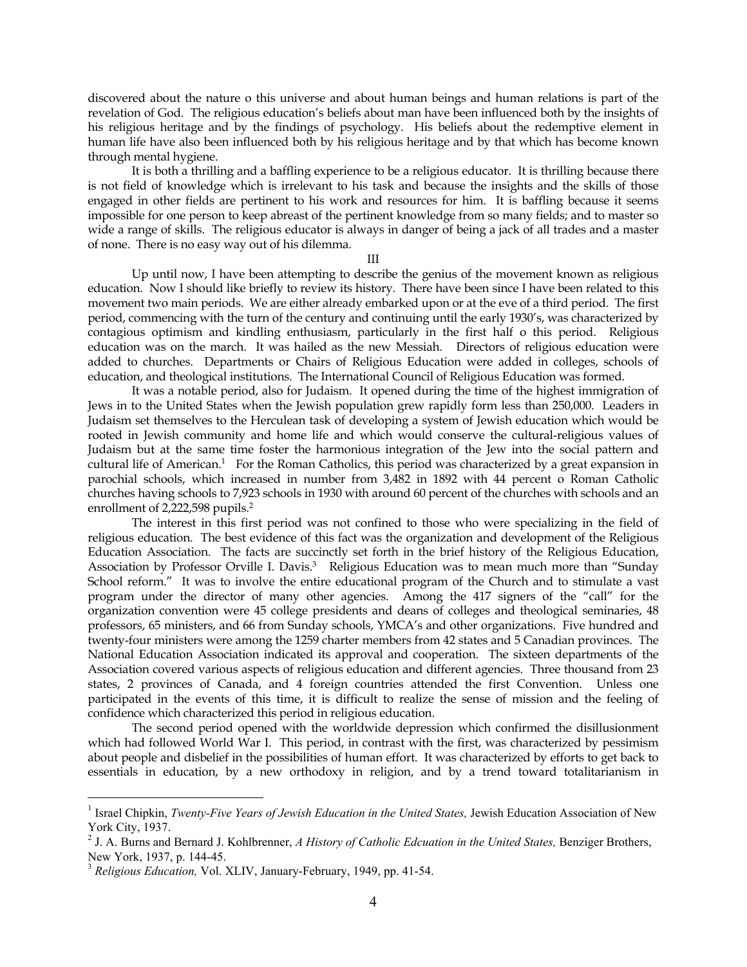discovered about the nature o this universe and about human beings and human relations is part of the revelation of God. The religious education's beliefs about man have been influenced both by the insights of his religious heritage and by the findings of psychology. His beliefs about the redemptive element in human life have also been influenced both by his religious heritage and by that which has become known through mental hygiene.

It is both a thrilling and a baffling experience to be a religious educator. It is thrilling because there is not field of knowledge which is irrelevant to his task and because the insights and the skills of those engaged in other fields are pertinent to his work and resources for him. It is baffling because it seems impossible for one person to keep abreast of the pertinent knowledge from so many fields; and to master so wide a range of skills. The religious educator is always in danger of being a jack of all trades and a master of none. There is no easy way out of his dilemma.

III

Up until now, I have been attempting to describe the genius of the movement known as religious education. Now I should like briefly to review its history. There have been since I have been related to this movement two main periods. We are either already embarked upon or at the eve of a third period. The first period, commencing with the turn of the century and continuing until the early 1930's, was characterized by contagious optimism and kindling enthusiasm, particularly in the first half o this period. Religious education was on the march. It was hailed as the new Messiah. Directors of religious education were added to churches. Departments or Chairs of Religious Education were added in colleges, schools of education, and theological institutions. The International Council of Religious Education was formed.

It was a notable period, also for Judaism. It opened during the time of the highest immigration of Jews in to the United States when the Jewish population grew rapidly form less than 250,000. Leaders in Judaism set themselves to the Herculean task of developing a system of Jewish education which would be rooted in Jewish community and home life and which would conserve the cultural-religious values of Judaism but at the same time foster the harmonious integration of the Jew into the social pattern and cultural life of American.<sup>[1](#page-3-0)</sup> For the Roman Catholics, this period was characterized by a great expansion in parochial schools, which increased in number from 3,482 in 1892 with 44 percent o Roman Catholic churches having schools to 7,923 schools in 1930 with around 60 percent of the churches with schools and an enrollment of 2,222,598 pupils.<sup>2</sup>

The interest in this first period was not confined to those who were specializing in the field of religious education. The best evidence of this fact was the organization and development of the Religious Education Association. The facts are succinctly set forth in the brief history of the Religious Education, Association by Professor Orville I. Davis.<sup>3</sup> Religious Education was to mean much more than "Sunday School reform." It was to involve the entire educational program of the Church and to stimulate a vast program under the director of many other agencies. Among the 417 signers of the "call" for the organization convention were 45 college presidents and deans of colleges and theological seminaries, 48 professors, 65 ministers, and 66 from Sunday schools, YMCA's and other organizations. Five hundred and twenty-four ministers were among the 1259 charter members from 42 states and 5 Canadian provinces. The National Education Association indicated its approval and cooperation. The sixteen departments of the Association covered various aspects of religious education and different agencies. Three thousand from 23 states, 2 provinces of Canada, and 4 foreign countries attended the first Convention. Unless one participated in the events of this time, it is difficult to realize the sense of mission and the feeling of confidence which characterized this period in religious education.

The second period opened with the worldwide depression which confirmed the disillusionment which had followed World War I. This period, in contrast with the first, was characterized by pessimism about people and disbelief in the possibilities of human effort. It was characterized by efforts to get back to essentials in education, by a new orthodoxy in religion, and by a trend toward totalitarianism in

<span id="page-3-0"></span> <sup>1</sup> <sup>1</sup> Israel Chipkin, *Twenty-Five Years of Jewish Education in the United States, Jewish Education Association of New* York City, 1937. 2

<span id="page-3-1"></span><sup>&</sup>lt;sup>2</sup> J. A. Burns and Bernard J. Kohlbrenner, *A History of Catholic Edcuation in the United States*, Benziger Brothers, New York, 1937, p. 144-45.

<span id="page-3-2"></span><sup>3</sup> *Religious Education,* Vol. XLIV, January-February, 1949, pp. 41-54.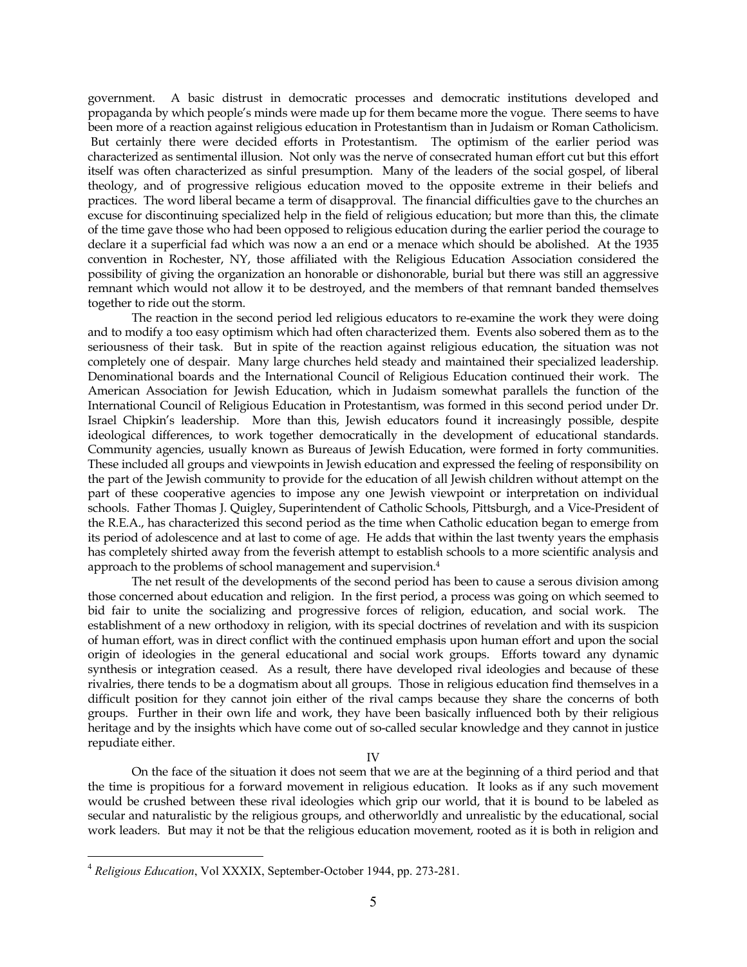government. A basic distrust in democratic processes and democratic institutions developed and propaganda by which people's minds were made up for them became more the vogue. There seems to have been more of a reaction against religious education in Protestantism than in Judaism or Roman Catholicism. But certainly there were decided efforts in Protestantism. The optimism of the earlier period was characterized as sentimental illusion. Not only was the nerve of consecrated human effort cut but this effort itself was often characterized as sinful presumption. Many of the leaders of the social gospel, of liberal theology, and of progressive religious education moved to the opposite extreme in their beliefs and practices. The word liberal became a term of disapproval. The financial difficulties gave to the churches an excuse for discontinuing specialized help in the field of religious education; but more than this, the climate of the time gave those who had been opposed to religious education during the earlier period the courage to declare it a superficial fad which was now a an end or a menace which should be abolished. At the 1935 convention in Rochester, NY, those affiliated with the Religious Education Association considered the possibility of giving the organization an honorable or dishonorable, burial but there was still an aggressive remnant which would not allow it to be destroyed, and the members of that remnant banded themselves together to ride out the storm.

The reaction in the second period led religious educators to re-examine the work they were doing and to modify a too easy optimism which had often characterized them. Events also sobered them as to the seriousness of their task. But in spite of the reaction against religious education, the situation was not completely one of despair. Many large churches held steady and maintained their specialized leadership. Denominational boards and the International Council of Religious Education continued their work. The American Association for Jewish Education, which in Judaism somewhat parallels the function of the International Council of Religious Education in Protestantism, was formed in this second period under Dr. Israel Chipkin's leadership. More than this, Jewish educators found it increasingly possible, despite ideological differences, to work together democratically in the development of educational standards. Community agencies, usually known as Bureaus of Jewish Education, were formed in forty communities. These included all groups and viewpoints in Jewish education and expressed the feeling of responsibility on the part of the Jewish community to provide for the education of all Jewish children without attempt on the part of these cooperative agencies to impose any one Jewish viewpoint or interpretation on individual schools. Father Thomas J. Quigley, Superintendent of Catholic Schools, Pittsburgh, and a Vice-President of the R.E.A., has characterized this second period as the time when Catholic education began to emerge from its period of adolescence and at last to come of age. He adds that within the last twenty years the emphasis has completely shirted away from the feverish attempt to establish schools to a more scientific analysis and approach to the problems of school management and supervision.[4](#page-4-0)

The net result of the developments of the second period has been to cause a serous division among those concerned about education and religion. In the first period, a process was going on which seemed to bid fair to unite the socializing and progressive forces of religion, education, and social work. The establishment of a new orthodoxy in religion, with its special doctrines of revelation and with its suspicion of human effort, was in direct conflict with the continued emphasis upon human effort and upon the social origin of ideologies in the general educational and social work groups. Efforts toward any dynamic synthesis or integration ceased. As a result, there have developed rival ideologies and because of these rivalries, there tends to be a dogmatism about all groups. Those in religious education find themselves in a difficult position for they cannot join either of the rival camps because they share the concerns of both groups. Further in their own life and work, they have been basically influenced both by their religious heritage and by the insights which have come out of so-called secular knowledge and they cannot in justice repudiate either.

IV

On the face of the situation it does not seem that we are at the beginning of a third period and that the time is propitious for a forward movement in religious education. It looks as if any such movement would be crushed between these rival ideologies which grip our world, that it is bound to be labeled as secular and naturalistic by the religious groups, and otherworldly and unrealistic by the educational, social work leaders. But may it not be that the religious education movement, rooted as it is both in religion and

<span id="page-4-0"></span> <sup>4</sup> *Religious Education*, Vol XXXIX, September-October 1944, pp. 273-281.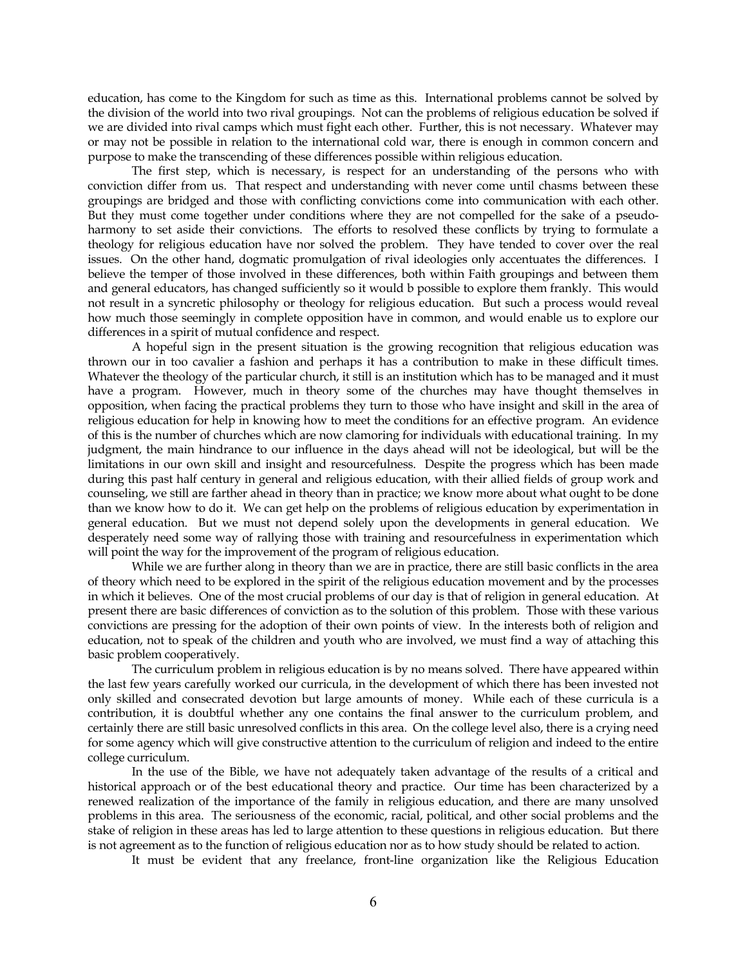education, has come to the Kingdom for such as time as this. International problems cannot be solved by the division of the world into two rival groupings. Not can the problems of religious education be solved if we are divided into rival camps which must fight each other. Further, this is not necessary. Whatever may or may not be possible in relation to the international cold war, there is enough in common concern and purpose to make the transcending of these differences possible within religious education.

The first step, which is necessary, is respect for an understanding of the persons who with conviction differ from us. That respect and understanding with never come until chasms between these groupings are bridged and those with conflicting convictions come into communication with each other. But they must come together under conditions where they are not compelled for the sake of a pseudoharmony to set aside their convictions. The efforts to resolved these conflicts by trying to formulate a theology for religious education have nor solved the problem. They have tended to cover over the real issues. On the other hand, dogmatic promulgation of rival ideologies only accentuates the differences. I believe the temper of those involved in these differences, both within Faith groupings and between them and general educators, has changed sufficiently so it would b possible to explore them frankly. This would not result in a syncretic philosophy or theology for religious education. But such a process would reveal how much those seemingly in complete opposition have in common, and would enable us to explore our differences in a spirit of mutual confidence and respect.

A hopeful sign in the present situation is the growing recognition that religious education was thrown our in too cavalier a fashion and perhaps it has a contribution to make in these difficult times. Whatever the theology of the particular church, it still is an institution which has to be managed and it must have a program. However, much in theory some of the churches may have thought themselves in opposition, when facing the practical problems they turn to those who have insight and skill in the area of religious education for help in knowing how to meet the conditions for an effective program. An evidence of this is the number of churches which are now clamoring for individuals with educational training. In my judgment, the main hindrance to our influence in the days ahead will not be ideological, but will be the limitations in our own skill and insight and resourcefulness. Despite the progress which has been made during this past half century in general and religious education, with their allied fields of group work and counseling, we still are farther ahead in theory than in practice; we know more about what ought to be done than we know how to do it. We can get help on the problems of religious education by experimentation in general education. But we must not depend solely upon the developments in general education. We desperately need some way of rallying those with training and resourcefulness in experimentation which will point the way for the improvement of the program of religious education.

While we are further along in theory than we are in practice, there are still basic conflicts in the area of theory which need to be explored in the spirit of the religious education movement and by the processes in which it believes. One of the most crucial problems of our day is that of religion in general education. At present there are basic differences of conviction as to the solution of this problem. Those with these various convictions are pressing for the adoption of their own points of view. In the interests both of religion and education, not to speak of the children and youth who are involved, we must find a way of attaching this basic problem cooperatively.

The curriculum problem in religious education is by no means solved. There have appeared within the last few years carefully worked our curricula, in the development of which there has been invested not only skilled and consecrated devotion but large amounts of money. While each of these curricula is a contribution, it is doubtful whether any one contains the final answer to the curriculum problem, and certainly there are still basic unresolved conflicts in this area. On the college level also, there is a crying need for some agency which will give constructive attention to the curriculum of religion and indeed to the entire college curriculum.

In the use of the Bible, we have not adequately taken advantage of the results of a critical and historical approach or of the best educational theory and practice. Our time has been characterized by a renewed realization of the importance of the family in religious education, and there are many unsolved problems in this area. The seriousness of the economic, racial, political, and other social problems and the stake of religion in these areas has led to large attention to these questions in religious education. But there is not agreement as to the function of religious education nor as to how study should be related to action.

It must be evident that any freelance, front-line organization like the Religious Education